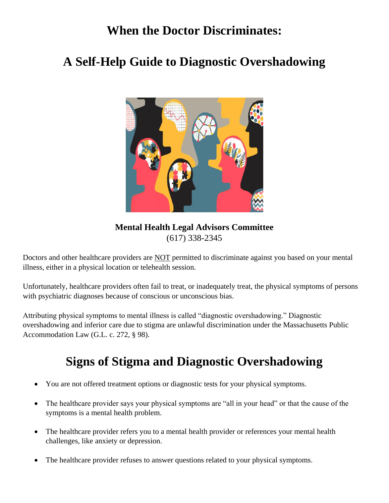## **When the Doctor Discriminates:**

## **A Self-Help Guide to Diagnostic Overshadowing**



**Mental Health Legal Advisors Committee** (617) 338-2345

Doctors and other healthcare providers are NOT permitted to discriminate against you based on your mental illness, either in a physical location or telehealth session.

Unfortunately, healthcare providers often fail to treat, or inadequately treat, the physical symptoms of persons with psychiatric diagnoses because of conscious or unconscious bias.

Attributing physical symptoms to mental illness is called "diagnostic overshadowing." Diagnostic overshadowing and inferior care due to stigma are unlawful discrimination under the Massachusetts Public Accommodation Law (G.L. c. 272, § 98).

# **Signs of Stigma and Diagnostic Overshadowing**

- You are not offered treatment options or diagnostic tests for your physical symptoms.
- The healthcare provider says your physical symptoms are "all in your head" or that the cause of the symptoms is a mental health problem.
- The healthcare provider refers you to a mental health provider or references your mental health challenges, like anxiety or depression.
- The healthcare provider refuses to answer questions related to your physical symptoms.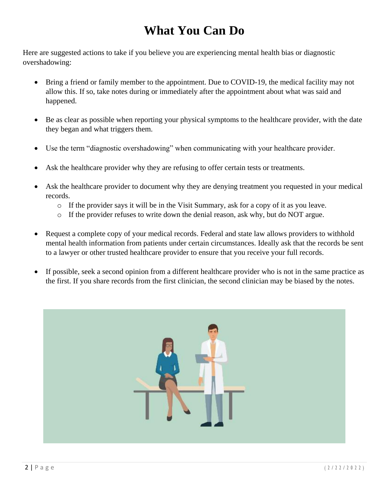# **What You Can Do**

Here are suggested actions to take if you believe you are experiencing mental health bias or diagnostic overshadowing:

- Bring a friend or family member to the appointment. Due to COVID-19, the medical facility may not allow this. If so, take notes during or immediately after the appointment about what was said and happened.
- Be as clear as possible when reporting your physical symptoms to the healthcare provider, with the date they began and what triggers them.
- Use the term "diagnostic overshadowing" when communicating with your healthcare provider.
- Ask the healthcare provider why they are refusing to offer certain tests or treatments.
- Ask the healthcare provider to document why they are denying treatment you requested in your medical records.
	- o If the provider says it will be in the Visit Summary, ask for a copy of it as you leave.
	- $\circ$  If the provider refuses to write down the denial reason, ask why, but do NOT argue.
- Request a complete copy of your medical records. Federal and state law allows providers to withhold mental health information from patients under certain circumstances. Ideally ask that the records be sent to a lawyer or other trusted healthcare provider to ensure that you receive your full records.
- If possible, seek a second opinion from a different healthcare provider who is not in the same practice as the first. If you share records from the first clinician, the second clinician may be biased by the notes.